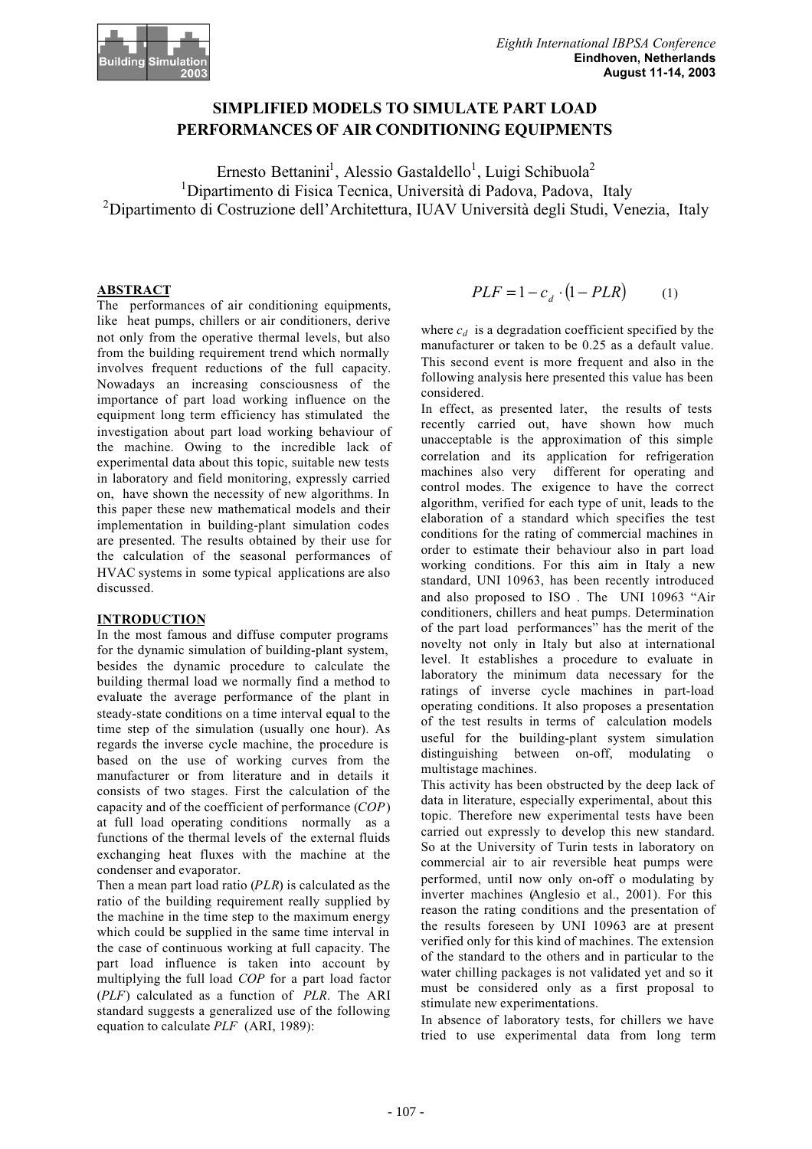

# **SIMPLIFIED MODELS TO SIMULATE PART LOAD PERFORMANCES OF AIR CONDITIONING EQUIPMENTS**

Ernesto Bettanini<sup>1</sup>, Alessio Gastaldello<sup>1</sup>, Luigi Schibuola<sup>2</sup> <sup>1</sup>Dipartimento di Fisica Tecnica, Università di Padova, Padova, Italy <sup>2</sup>Dipartimento di Costruzione dell'Architettura, IUAV Università degli Studi, Venezia, Italy

# **ABSTRACT**

The performances of air conditioning equipments, like heat pumps, chillers or air conditioners, derive not only from the operative thermal levels, but also from the building requirement trend which normally involves frequent reductions of the full capacity. Nowadays an increasing consciousness of the importance of part load working influence on the equipment long term efficiency has stimulated the investigation about part load working behaviour of the machine. Owing to the incredible lack of experimental data about this topic, suitable new tests in laboratory and field monitoring, expressly carried on, have shown the necessity of new algorithms. In this paper these new mathematical models and their implementation in building-plant simulation codes are presented. The results obtained by their use for the calculation of the seasonal performances of HVAC systems in some typical applications are also discussed.

## **INTRODUCTION**

In the most famous and diffuse computer programs for the dynamic simulation of building-plant system, besides the dynamic procedure to calculate the building thermal load we normally find a method to evaluate the average performance of the plant in steady-state conditions on a time interval equal to the time step of the simulation (usually one hour). As regards the inverse cycle machine, the procedure is based on the use of working curves from the manufacturer or from literature and in details it consists of two stages. First the calculation of the capacity and of the coefficient of performance (*COP*) at full load operating conditions normally as a functions of the thermal levels of the external fluids exchanging heat fluxes with the machine at the condenser and evaporator.

Then a mean part load ratio (*PLR*) is calculated as the ratio of the building requirement really supplied by the machine in the time step to the maximum energy which could be supplied in the same time interval in the case of continuous working at full capacity. The part load influence is taken into account by multiplying the full load *COP* for a part load factor (*PLF*) calculated as a function of *PLR*. The ARI standard suggests a generalized use of the following equation to calculate *PLF* (ARI, 1989):

$$
PLF = 1 - c_d \cdot (1 - PLR) \tag{1}
$$

where  $c_d$  is a degradation coefficient specified by the manufacturer or taken to be 0.25 as a default value. This second event is more frequent and also in the following analysis here presented this value has been considered.

In effect, as presented later, the results of tests recently carried out, have shown how much unacceptable is the approximation of this simple correlation and its application for refrigeration different for operating and control modes. The exigence to have the correct algorithm, verified for each type of unit, leads to the elaboration of a standard which specifies the test conditions for the rating of commercial machines in order to estimate their behaviour also in part load working conditions. For this aim in Italy a new standard, UNI 10963, has been recently introduced and also proposed to ISO . The UNI 10963 "Air conditioners, chillers and heat pumps. Determination of the part load performances" has the merit of the novelty not only in Italy but also at international level. It establishes a procedure to evaluate in laboratory the minimum data necessary for the ratings of inverse cycle machines in part-load operating conditions. It also proposes a presentation of the test results in terms of calculation models useful for the building-plant system simulation distinguishing between on-off, modulating o multistage machines.

This activity has been obstructed by the deep lack of data in literature, especially experimental, about this topic. Therefore new experimental tests have been carried out expressly to develop this new standard. So at the University of Turin tests in laboratory on commercial air to air reversible heat pumps were performed, until now only on-off o modulating by inverter machines (Anglesio et al., 2001). For this reason the rating conditions and the presentation of the results foreseen by UNI 10963 are at present verified only for this kind of machines. The extension of the standard to the others and in particular to the water chilling packages is not validated yet and so it must be considered only as a first proposal to stimulate new experimentations.

In absence of laboratory tests, for chillers we have tried to use experimental data from long term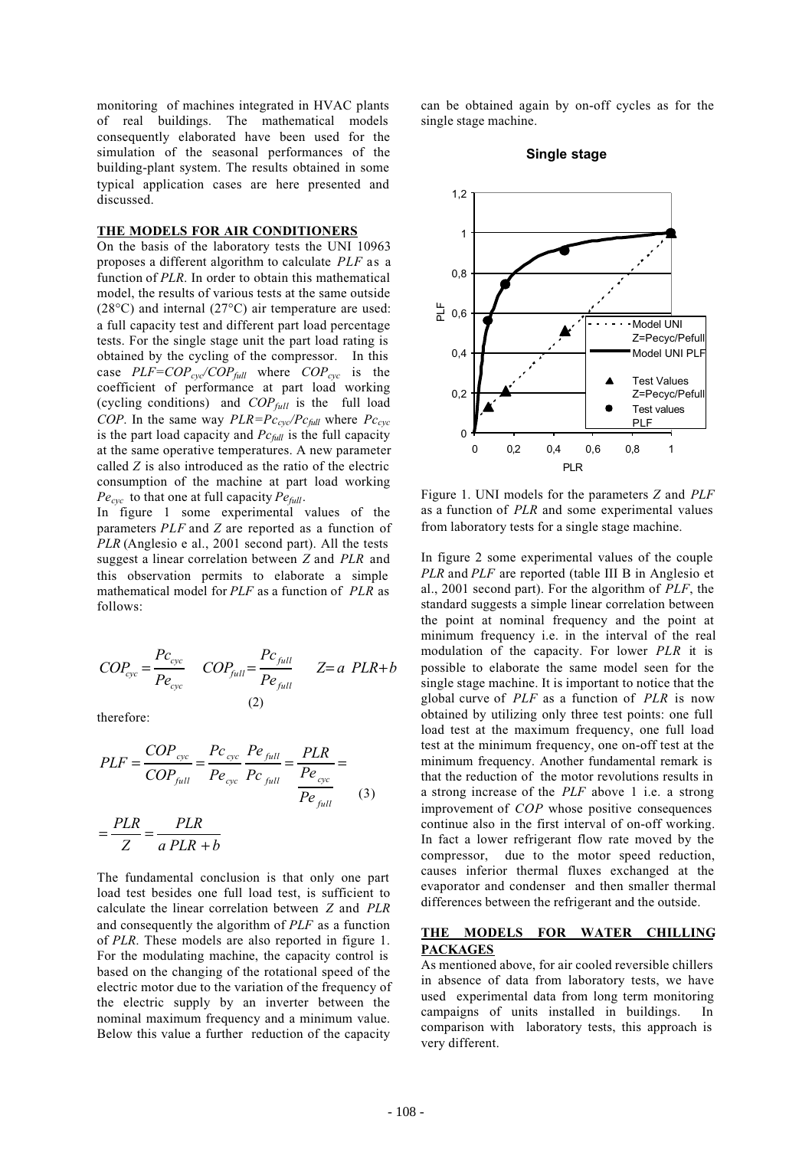monitoring of machines integrated in HVAC plants of real buildings. The mathematical models consequently elaborated have been used for the simulation of the seasonal performances of the building-plant system. The results obtained in some typical application cases are here presented and discussed.

## **THE MODELS FOR AIR CONDITIONERS**

On the basis of the laboratory tests the UNI 10963 proposes a different algorithm to calculate *PLF* as a function of *PLR*. In order to obtain this mathematical model, the results of various tests at the same outside (28°C) and internal (27°C) air temperature are used: a full capacity test and different part load percentage tests. For the single stage unit the part load rating is obtained by the cycling of the compressor. In this case  $PLF= COP_{cyc}/COP_{full}$  where  $COP_{cyc}$  is the coefficient of performance at part load working (cycling conditions) and *COPfull* is the full load *COP*. In the same way  $PLR = Pc_{\text{cyc}}/Pc_{\text{full}}$  where  $Pc_{\text{cyc}}$ is the part load capacity and *Pcfull* is the full capacity at the same operative temperatures. A new parameter called *Z* is also introduced as the ratio of the electric consumption of the machine at part load working  $Pe_{cyc}$  to that one at full capacity  $Pe_{full}$ .

In figure 1 some experimental values of the parameters *PLF* and *Z* are reported as a function of *PLR* (Anglesio e al., 2001 second part). All the tests suggest a linear correlation between *Z* and *PLR* and this observation permits to elaborate a simple mathematical model for *PLF* as a function of *PLR* as follows:

$$
COP_{cyc} = \frac{Pc_{cyc}}{Pe_{cyc}} \quad COP_{full} = \frac{Pc_{full}}{Pe_{full}} \quad Z=a \quad PLR + b
$$
\n
$$
(2)
$$

therefore:

$$
PLF = \frac{COP_{cyc}}{COP_{full}} = \frac{Pc_{cyc}}{Pe_{cyc}} \frac{Pe_{full}}{Pc_{full}} = \frac{PLR}{Pe_{cyc}} = \frac{PLR}{Pe_{full}}
$$

$$
= \frac{PLR}{Z} = \frac{PLR}{a\,PLR + b} \tag{3}
$$

The fundamental conclusion is that only one part load test besides one full load test, is sufficient to calculate the linear correlation between *Z* and *PLR* and consequently the algorithm of *PLF* as a function of *PLR*. These models are also reported in figure 1. For the modulating machine, the capacity control is based on the changing of the rotational speed of the electric motor due to the variation of the frequency of the electric supply by an inverter between the nominal maximum frequency and a minimum value. Below this value a further reduction of the capacity

can be obtained again by on-off cycles as for the single stage machine.

**Single stage**



Figure 1. UNI models for the parameters *Z* and *PLF* as a function of *PLR* and some experimental values from laboratory tests for a single stage machine.

In figure 2 some experimental values of the couple *PLR* and *PLF* are reported (table III B in Anglesio et al., 2001 second part). For the algorithm of *PLF*, the standard suggests a simple linear correlation between the point at nominal frequency and the point at minimum frequency i.e. in the interval of the real modulation of the capacity. For lower *PLR* it is possible to elaborate the same model seen for the single stage machine. It is important to notice that the global curve of *PLF* as a function of *PLR* is now obtained by utilizing only three test points: one full load test at the maximum frequency, one full load test at the minimum frequency, one on-off test at the minimum frequency. Another fundamental remark is that the reduction of the motor revolutions results in a strong increase of the *PLF* above 1 i.e. a strong improvement of *COP* whose positive consequences continue also in the first interval of on-off working. In fact a lower refrigerant flow rate moved by the compressor, due to the motor speed reduction, causes inferior thermal fluxes exchanged at the evaporator and condenser and then smaller thermal differences between the refrigerant and the outside.

## **THE MODELS FOR WATER CHILLING PACKAGES**

As mentioned above, for air cooled reversible chillers in absence of data from laboratory tests, we have used experimental data from long term monitoring campaigns of units installed in buildings. In comparison with laboratory tests, this approach is very different.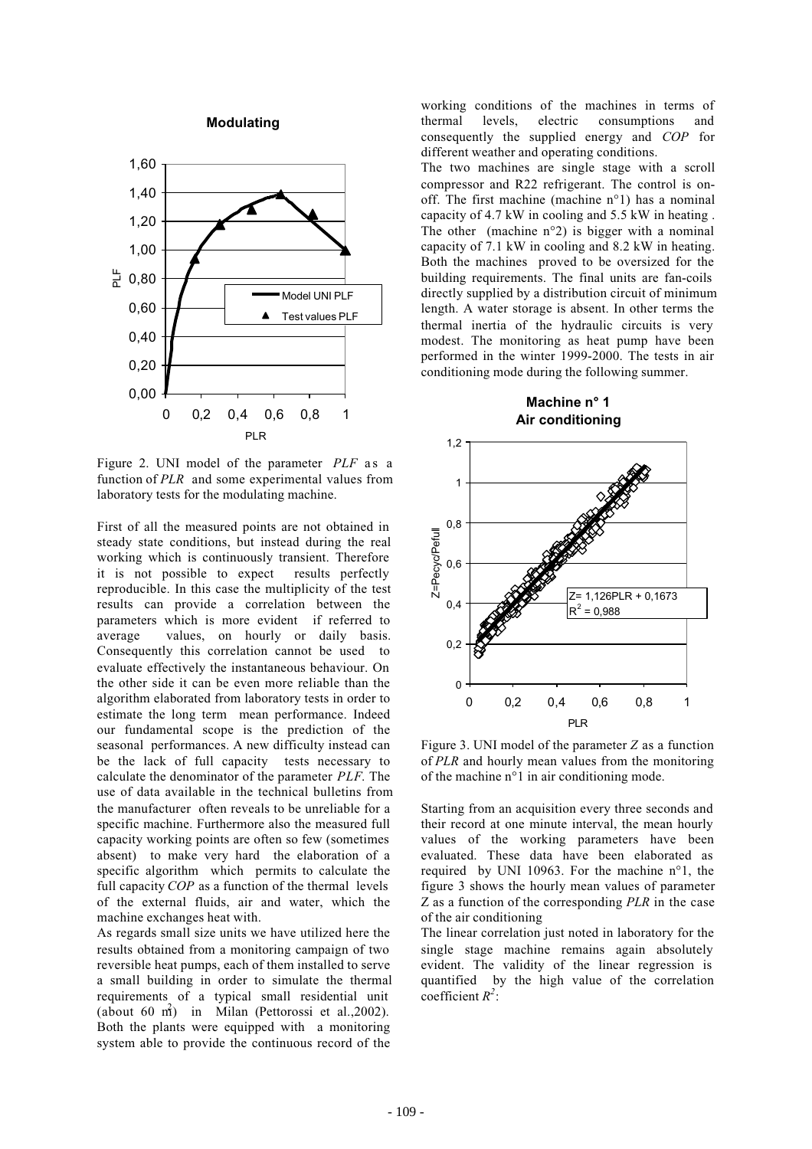**Modulating**



Figure 2. UNI model of the parameter *PLF* as a function of *PLR* and some experimental values from laboratory tests for the modulating machine.

First of all the measured points are not obtained in steady state conditions, but instead during the real working which is continuously transient. Therefore it is not possible to expect results perfectly reproducible. In this case the multiplicity of the test results can provide a correlation between the parameters which is more evident if referred to average values, on hourly or daily basis. Consequently this correlation cannot be used to evaluate effectively the instantaneous behaviour. On the other side it can be even more reliable than the algorithm elaborated from laboratory tests in order to estimate the long term mean performance. Indeed our fundamental scope is the prediction of the seasonal performances. A new difficulty instead can be the lack of full capacity tests necessary to calculate the denominator of the parameter *PLF*. The use of data available in the technical bulletins from the manufacturer often reveals to be unreliable for a specific machine. Furthermore also the measured full capacity working points are often so few (sometimes absent) to make very hard the elaboration of a specific algorithm which permits to calculate the full capacity *COP* as a function of the thermal levels of the external fluids, air and water, which the machine exchanges heat with.

As regards small size units we have utilized here the results obtained from a monitoring campaign of two reversible heat pumps, each of them installed to serve a small building in order to simulate the thermal requirements of a typical small residential unit (about 60 m<sup>2</sup>) in Milan (Pettorossi et al., 2002). Both the plants were equipped with a monitoring system able to provide the continuous record of the

working conditions of the machines in terms of thermal levels, electric consumptions and consequently the supplied energy and *COP* for different weather and operating conditions.

The two machines are single stage with a scroll compressor and R22 refrigerant. The control is onoff. The first machine (machine n°1) has a nominal capacity of 4.7 kW in cooling and 5.5 kW in heating . The other (machine  $n^{\circ}2$ ) is bigger with a nominal capacity of 7.1 kW in cooling and 8.2 kW in heating. Both the machines proved to be oversized for the building requirements. The final units are fan-coils directly supplied by a distribution circuit of minimum length. A water storage is absent. In other terms the thermal inertia of the hydraulic circuits is very modest. The monitoring as heat pump have been performed in the winter 1999-2000. The tests in air conditioning mode during the following summer.



Figure 3. UNI model of the parameter *Z* as a function of *PLR* and hourly mean values from the monitoring of the machine n°1 in air conditioning mode.

Starting from an acquisition every three seconds and their record at one minute interval, the mean hourly values of the working parameters have been evaluated. These data have been elaborated as required by UNI 10963. For the machine n°1, the figure 3 shows the hourly mean values of parameter Z as a function of the corresponding *PLR* in the case of the air conditioning

The linear correlation just noted in laboratory for the single stage machine remains again absolutely evident. The validity of the linear regression is quantified by the high value of the correlation coefficient *R<sup>2</sup>* :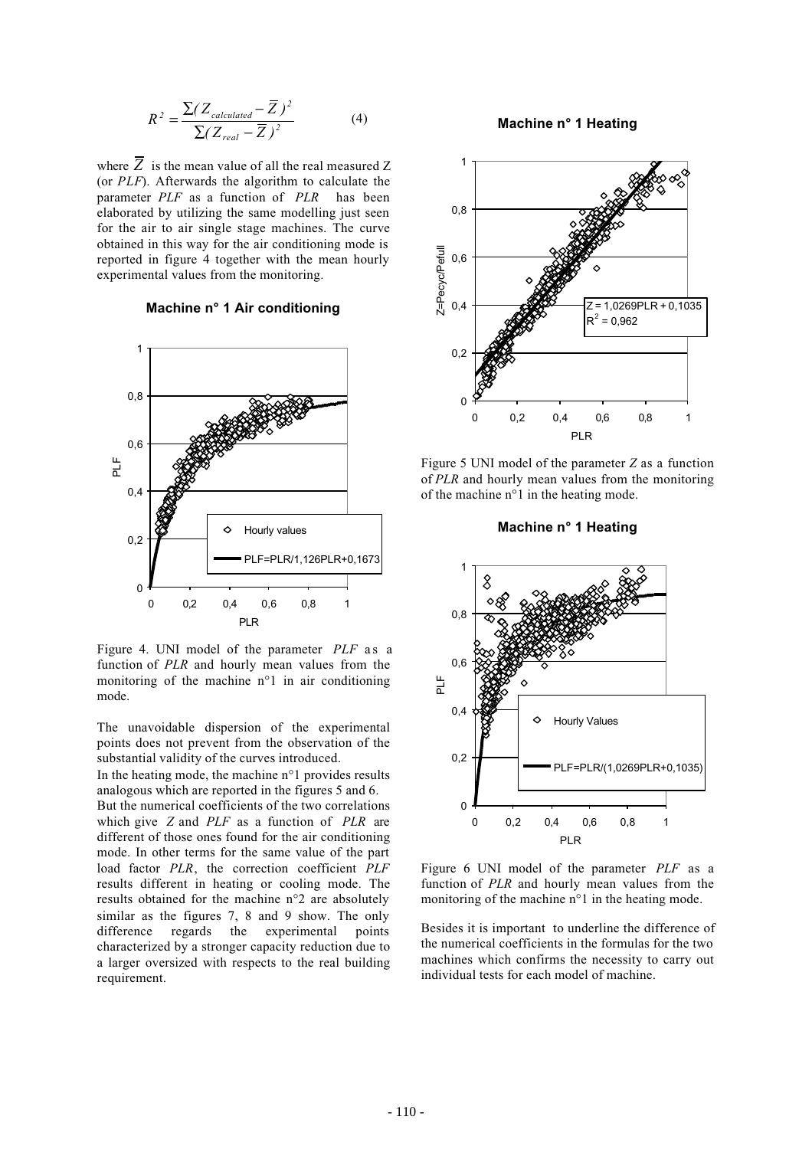$$
R^{2} = \frac{\sum (Z_{calculated} - \overline{Z})^{2}}{\sum (Z_{real} - \overline{Z})^{2}}
$$
(4)

where  $\overline{Z}$  is the mean value of all the real measured Z (or *PLF*). Afterwards the algorithm to calculate the parameter *PLF* as a function of *PLR* has been elaborated by utilizing the same modelling just seen for the air to air single stage machines. The curve obtained in this way for the air conditioning mode is reported in figure 4 together with the mean hourly experimental values from the monitoring.

## **Machine n° 1 Air conditioning**



Figure 4. UNI model of the parameter *PLF* as a function of *PLR* and hourly mean values from the monitoring of the machine n°1 in air conditioning mode.

The unavoidable dispersion of the experimental points does not prevent from the observation of the substantial validity of the curves introduced.

In the heating mode, the machine n°1 provides results analogous which are reported in the figures 5 and 6.

But the numerical coefficients of the two correlations which give *Z* and *PLF* as a function of *PLR* are different of those ones found for the air conditioning mode. In other terms for the same value of the part load factor *PLR*, the correction coefficient *PLF* results different in heating or cooling mode. The results obtained for the machine n°2 are absolutely similar as the figures 7, 8 and 9 show. The only difference regards the experimental points characterized by a stronger capacity reduction due to a larger oversized with respects to the real building requirement.

**Machine n° 1 Heating**



Figure 5 UNI model of the parameter *Z* as a function of *PLR* and hourly mean values from the monitoring of the machine n°1 in the heating mode.

## **Machine n° 1 Heating**



Figure 6 UNI model of the parameter *PLF* as a function of *PLR* and hourly mean values from the monitoring of the machine n°1 in the heating mode.

Besides it is important to underline the difference of the numerical coefficients in the formulas for the two machines which confirms the necessity to carry out individual tests for each model of machine.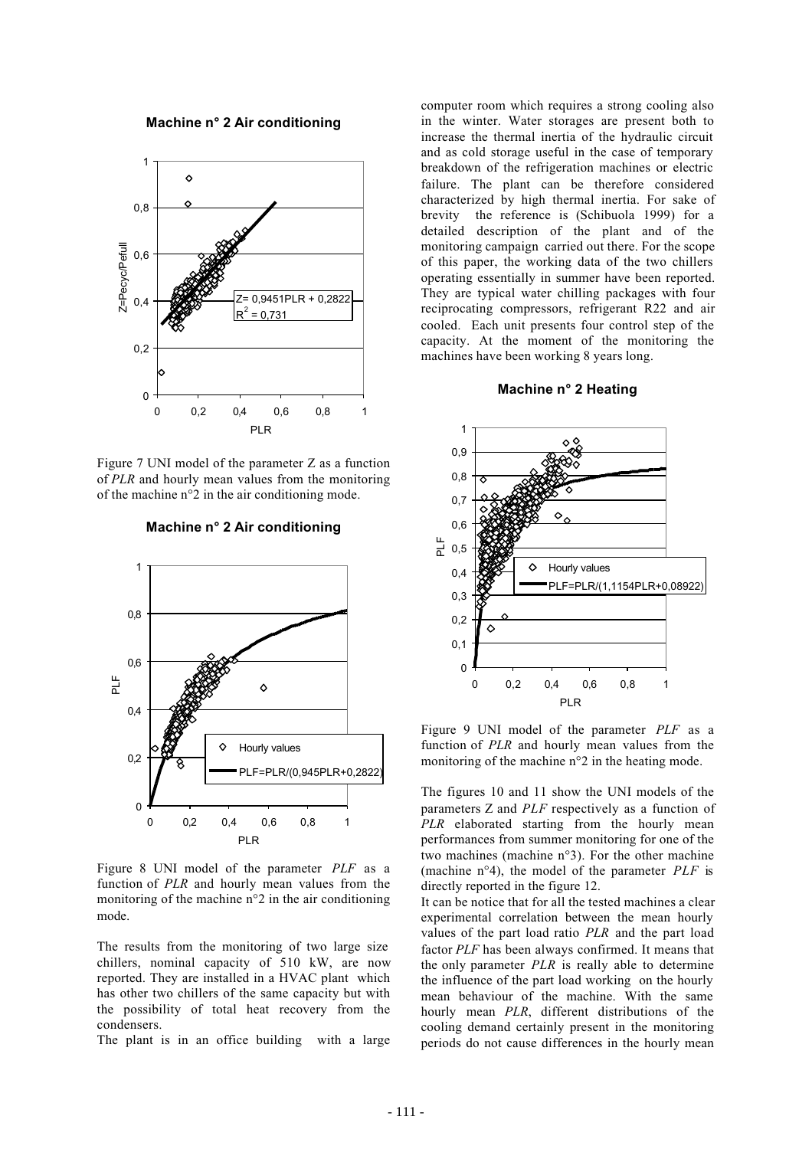**Machine n° 2 Air conditioning**



Figure 7 UNI model of the parameter Z as a function of *PLR* and hourly mean values from the monitoring of the machine n°2 in the air conditioning mode.



**Machine n° 2 Air conditioning**

Figure 8 UNI model of the parameter *PLF* as a function of *PLR* and hourly mean values from the monitoring of the machine n°2 in the air conditioning mode.

The results from the monitoring of two large size chillers, nominal capacity of 510 kW, are now reported. They are installed in a HVAC plant which has other two chillers of the same capacity but with the possibility of total heat recovery from the condensers.

The plant is in an office building with a large

computer room which requires a strong cooling also in the winter. Water storages are present both to increase the thermal inertia of the hydraulic circuit and as cold storage useful in the case of temporary breakdown of the refrigeration machines or electric failure. The plant can be therefore considered characterized by high thermal inertia. For sake of brevity the reference is (Schibuola 1999) for a detailed description of the plant and of the monitoring campaign carried out there. For the scope of this paper, the working data of the two chillers operating essentially in summer have been reported. They are typical water chilling packages with four reciprocating compressors, refrigerant R22 and air cooled. Each unit presents four control step of the capacity. At the moment of the monitoring the machines have been working 8 years long.

#### **Machine n° 2 Heating**



Figure 9 UNI model of the parameter *PLF* as a function of *PLR* and hourly mean values from the monitoring of the machine n°2 in the heating mode.

The figures 10 and 11 show the UNI models of the parameters Z and *PLF* respectively as a function of *PLR* elaborated starting from the hourly mean performances from summer monitoring for one of the two machines (machine n°3). For the other machine (machine n°4), the model of the parameter *PLF* is directly reported in the figure 12.

It can be notice that for all the tested machines a clear experimental correlation between the mean hourly values of the part load ratio *PLR* and the part load factor *PLF* has been always confirmed. It means that the only parameter *PLR* is really able to determine the influence of the part load working on the hourly mean behaviour of the machine. With the same hourly mean *PLR*, different distributions of the cooling demand certainly present in the monitoring periods do not cause differences in the hourly mean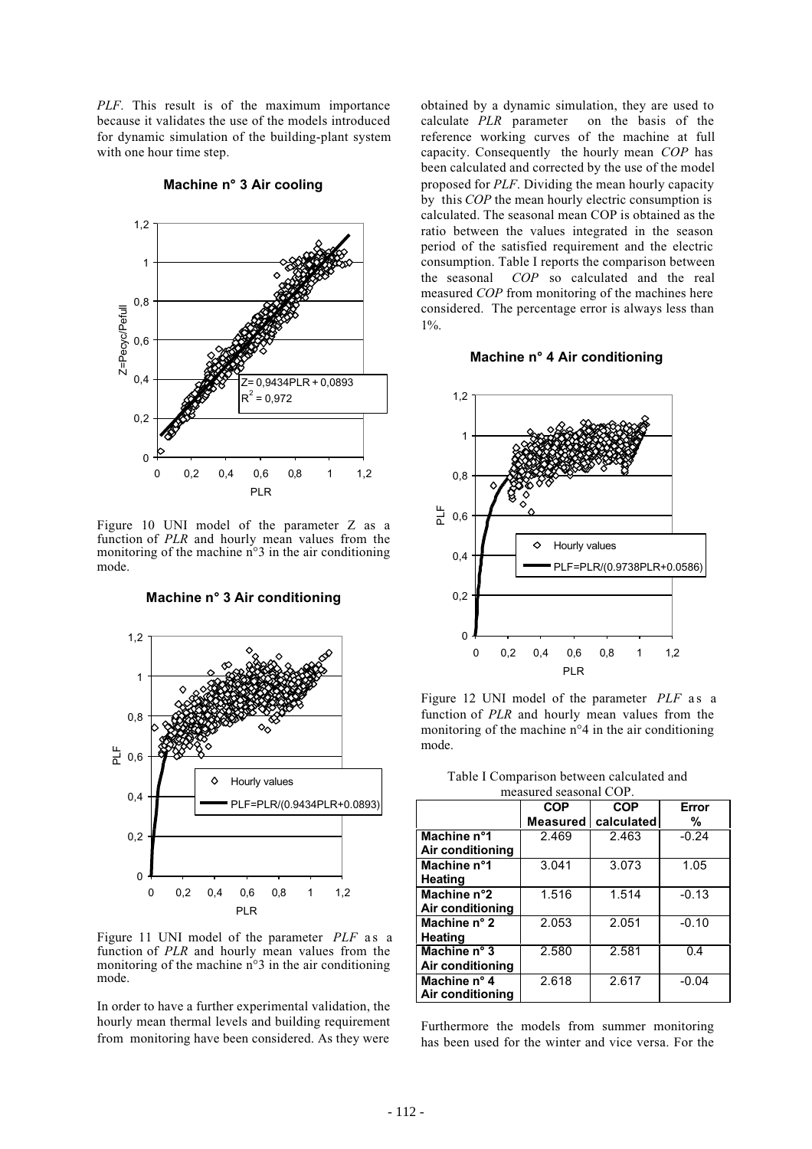*PLF*. This result is of the maximum importance because it validates the use of the models introduced for dynamic simulation of the building-plant system with one hour time step.



**Machine n° 3 Air cooling**

Figure 10 UNI model of the parameter Z as a function of *PLR* and hourly mean values from the monitoring of the machine n°3 in the air conditioning mode.

**Machine n° 3 Air conditioning**



Figure 11 UNI model of the parameter *PLF* as a function of *PLR* and hourly mean values from the monitoring of the machine n°3 in the air conditioning mode.

In order to have a further experimental validation, the hourly mean thermal levels and building requirement from monitoring have been considered. As they were

obtained by a dynamic simulation, they are used to calculate *PLR* parameter on the basis of the reference working curves of the machine at full capacity. Consequently the hourly mean *COP* has been calculated and corrected by the use of the model proposed for *PLF*. Dividing the mean hourly capacity by this *COP* the mean hourly electric consumption is calculated. The seasonal mean COP is obtained as the ratio between the values integrated in the season period of the satisfied requirement and the electric consumption. Table I reports the comparison between the seasonal *COP* so calculated and the real measured *COP* from monitoring of the machines here considered. The percentage error is always less than  $1\%$ .

#### **Machine n° 4 Air conditioning**



Figure 12 UNI model of the parameter *PLF* as a function of *PLR* and hourly mean values from the monitoring of the machine n°4 in the air conditioning mode.

| measured seasonal COP. |                 |            |         |
|------------------------|-----------------|------------|---------|
|                        | <b>COP</b>      | <b>COP</b> | Error   |
|                        | <b>Measured</b> | calculated | %       |
| Machine n°1            | 2.469           | 2.463      | $-0.24$ |
| Air conditioning       |                 |            |         |
| Machine n°1            | 3.041           | 3.073      | 1.05    |
| Heating                |                 |            |         |
| Machine n°2            | 1.516           | 1.514      | $-0.13$ |
| Air conditioning       |                 |            |         |
| Machine n° 2           | 2.053           | 2.051      | $-0.10$ |
| <b>Heating</b>         |                 |            |         |
| Machine $n^{\circ}$ 3  | 2.580           | 2.581      | 0.4     |
| Air conditioning       |                 |            |         |
| Machine n° 4           | 2.618           | 2.617      | $-0.04$ |
| Air conditioning       |                 |            |         |

Table I Comparison between calculated and

Furthermore the models from summer monitoring has been used for the winter and vice versa. For the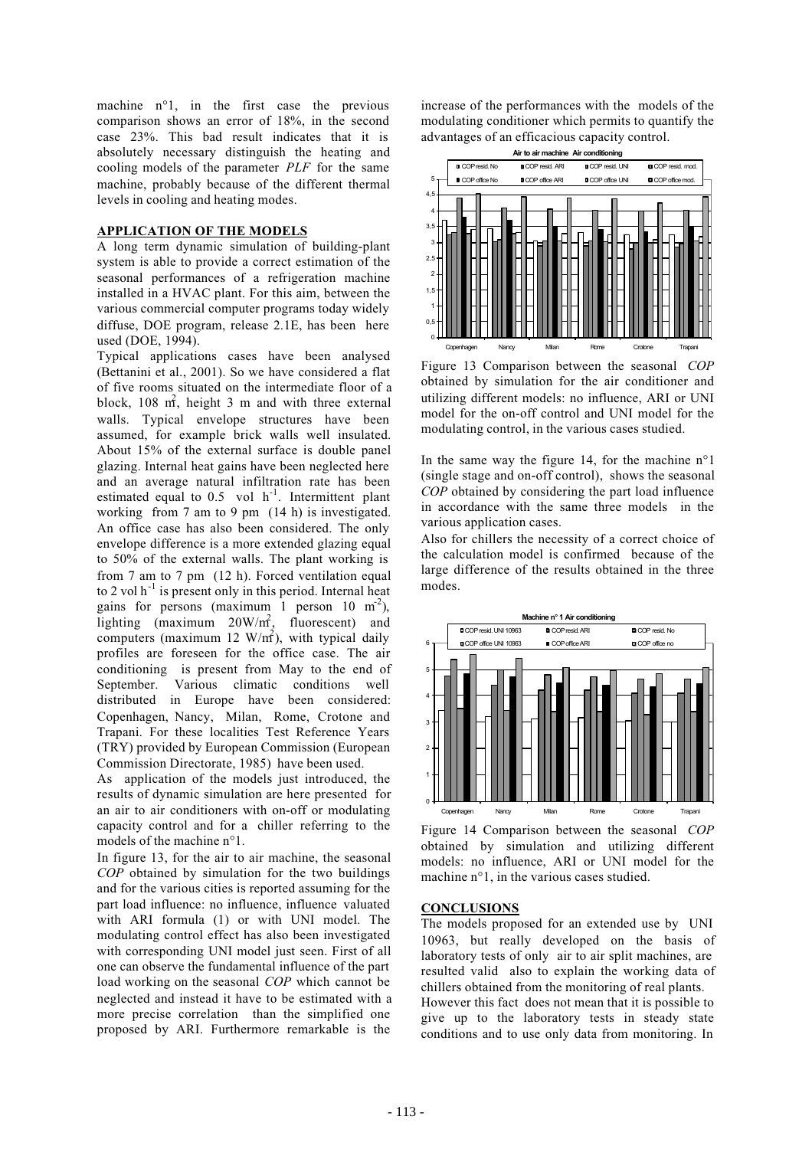machine n°1, in the first case the previous comparison shows an error of 18%, in the second case 23%. This bad result indicates that it is absolutely necessary distinguish the heating and cooling models of the parameter *PLF* for the same machine, probably because of the different thermal levels in cooling and heating modes.

## **APPLICATION OF THE MODELS**

A long term dynamic simulation of building-plant system is able to provide a correct estimation of the seasonal performances of a refrigeration machine installed in a HVAC plant. For this aim, between the various commercial computer programs today widely diffuse, DOE program, release 2.1E, has been here used (DOE, 1994).

Typical applications cases have been analysed (Bettanini et al., 2001). So we have considered a flat of five rooms situated on the intermediate floor of a block, 108  $m<sup>2</sup>$ , height 3 m and with three external walls. Typical envelope structures have been assumed, for example brick walls well insulated. About 15% of the external surface is double panel glazing. Internal heat gains have been neglected here and an average natural infiltration rate has been estimated equal to  $0.5$  vol  $h^{-1}$ . Intermittent plant working from 7 am to 9 pm (14 h) is investigated. An office case has also been considered. The only envelope difference is a more extended glazing equal to 50% of the external walls. The plant working is from 7 am to 7 pm (12 h). Forced ventilation equal to 2 vol  $h^{-1}$  is present only in this period. Internal heat gains for persons (maximum 1 person  $10 \text{ m}^2$ ), lighting (maximum  $20W/m^2$ , fluorescent) and computers (maximum 12  $W/m<sup>2</sup>$ ), with typical daily profiles are foreseen for the office case. The air conditioning is present from May to the end of September. Various climatic conditions well distributed in Europe have been considered: Copenhagen, Nancy, Milan, Rome, Crotone and Trapani. For these localities Test Reference Years (TRY) provided by European Commission (European Commission Directorate, 1985) have been used.

As application of the models just introduced, the results of dynamic simulation are here presented for an air to air conditioners with on-off or modulating capacity control and for a chiller referring to the models of the machine n°1.

In figure 13, for the air to air machine, the seasonal *COP* obtained by simulation for the two buildings and for the various cities is reported assuming for the part load influence: no influence, influence valuated with ARI formula (1) or with UNI model. The modulating control effect has also been investigated with corresponding UNI model just seen. First of all one can observe the fundamental influence of the part load working on the seasonal *COP* which cannot be neglected and instead it have to be estimated with a more precise correlation than the simplified one proposed by ARI. Furthermore remarkable is the

increase of the performances with the models of the modulating conditioner which permits to quantify the advantages of an efficacious capacity control.



Figure 13 Comparison between the seasonal *COP* obtained by simulation for the air conditioner and utilizing different models: no influence, ARI or UNI model for the on-off control and UNI model for the modulating control, in the various cases studied.

In the same way the figure 14, for the machine  $n^{\circ}$ 1 (single stage and on-off control), shows the seasonal *COP* obtained by considering the part load influence in accordance with the same three models in the various application cases.

Also for chillers the necessity of a correct choice of the calculation model is confirmed because of the large difference of the results obtained in the three modes.



Figure 14 Comparison between the seasonal *COP* obtained by simulation and utilizing different models: no influence, ARI or UNI model for the machine n°1, in the various cases studied.

#### **CONCLUSIONS**

The models proposed for an extended use by UNI 10963, but really developed on the basis of laboratory tests of only air to air split machines, are resulted valid also to explain the working data of chillers obtained from the monitoring of real plants. However this fact does not mean that it is possible to

give up to the laboratory tests in steady state conditions and to use only data from monitoring. In